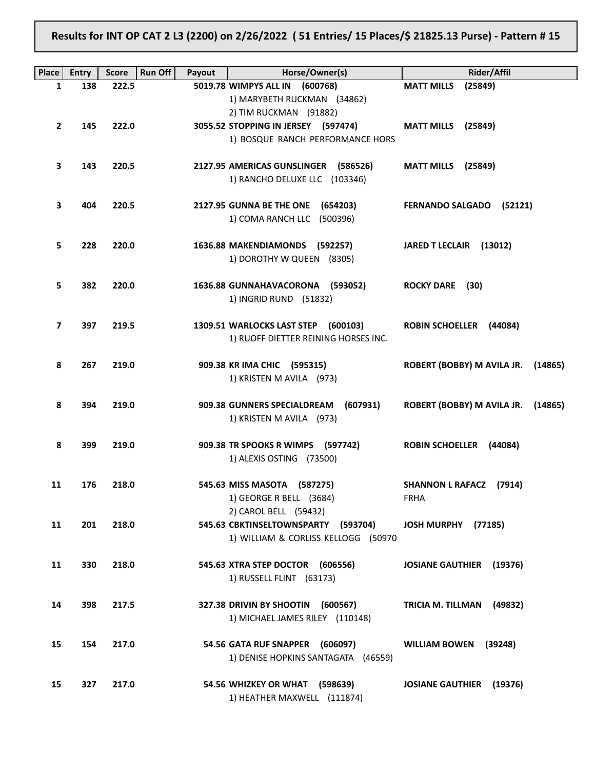Results for INT OP CAT 2 L3 (2200) on 2/26/2022 ( 51 Entries/ 15 Places/\$ 21825.13 Purse) - Pattern # 15

| Place | <b>Entry</b> | <b>Run Off</b><br><b>Score</b> | Payout | Horse/Owner(s)                                         | <b>Rider/Affil</b>                  |
|-------|--------------|--------------------------------|--------|--------------------------------------------------------|-------------------------------------|
| 1     | 138          | 222.5                          |        | 5019.78 WIMPYS ALL IN (600768)                         | <b>MATT MILLS</b><br>(25849)        |
|       |              |                                |        | 1) MARYBETH RUCKMAN (34862)                            |                                     |
|       |              |                                |        | 2) TIM RUCKMAN (91882)                                 |                                     |
| 2     | 145          | 222.0                          |        | 3055.52 STOPPING IN JERSEY (597474)                    | <b>MATT MILLS</b> (25849)           |
|       |              |                                |        | 1) BOSQUE RANCH PERFORMANCE HORS                       |                                     |
| 3     | 143          | 220.5                          |        | 2127.95 AMERICAS GUNSLINGER (586526)                   | <b>MATT MILLS</b> (25849)           |
|       |              |                                |        | 1) RANCHO DELUXE LLC (103346)                          |                                     |
|       |              |                                |        |                                                        |                                     |
| З     | 404          | 220.5                          |        | 2127.95 GUNNA BE THE ONE (654203)                      | FERNANDO SALGADO (52121)            |
|       |              |                                |        | 1) COMA RANCH LLC (500396)                             |                                     |
|       |              |                                |        |                                                        |                                     |
| 5     | 228          | 220.0                          |        | 1636.88 MAKENDIAMONDS (592257)                         | JARED T LECLAIR (13012)             |
|       |              |                                |        | 1) DOROTHY W QUEEN (8305)                              |                                     |
| 5     | 382          | 220.0                          |        | 1636.88 GUNNAHAVACORONA (593052)                       | <b>ROCKY DARE</b> (30)              |
|       |              |                                |        | 1) INGRID RUND (51832)                                 |                                     |
|       |              |                                |        |                                                        |                                     |
| 7     | 397          | 219.5                          |        | 1309.51 WARLOCKS LAST STEP (600103)                    | ROBIN SCHOELLER (44084)             |
|       |              |                                |        | 1) RUOFF DIETTER REINING HORSES INC.                   |                                     |
|       |              |                                |        |                                                        |                                     |
| 8     | 267          | 219.0                          |        | 909.38 KR IMA CHIC (595315)                            | ROBERT (BOBBY) M AVILA JR. (14865)  |
|       |              |                                |        | 1) KRISTEN M AVILA (973)                               |                                     |
| 8     | 394          | 219.0                          |        | 909.38 GUNNERS SPECIALDREAM<br>(607931)                | ROBERT (BOBBY) M AVILA JR. (14865)  |
|       |              |                                |        | 1) KRISTEN M AVILA (973)                               |                                     |
|       |              |                                |        |                                                        |                                     |
| 8     | 399          | 219.0                          |        | 909.38 TR SPOOKS R WIMPS (597742)                      | ROBIN SCHOELLER (44084)             |
|       |              |                                |        | 1) ALEXIS OSTING (73500)                               |                                     |
|       |              |                                |        |                                                        |                                     |
| 11    | 176          | 218.0                          |        | 545.63 MISS MASOTA (587275)<br>1) GEORGE R BELL (3684) | SHANNON L RAFACZ (7914)<br>FRHA     |
|       |              |                                |        | 2) CAROL BELL (59432)                                  |                                     |
| 11    | 201          | 218.0                          |        | 545.63 CBKTINSELTOWNSPARTY (593704)                    | (77185)<br><b>JOSH MURPHY</b>       |
|       |              |                                |        | 1) WILLIAM & CORLISS KELLOGG (50970                    |                                     |
|       |              |                                |        |                                                        |                                     |
| 11    | 330          | 218.0                          |        | 545.63 XTRA STEP DOCTOR (606556)                       | <b>JOSIANE GAUTHIER (19376)</b>     |
|       |              |                                |        | 1) RUSSELL FLINT (63173)                               |                                     |
| 14    | 398          | 217.5                          |        | 327.38 DRIVIN BY SHOOTIN<br>(600567)                   | <b>TRICIA M. TILLMAN</b><br>(49832) |
|       |              |                                |        | 1) MICHAEL JAMES RILEY (110148)                        |                                     |
|       |              |                                |        |                                                        |                                     |
| 15    | 154          | 217.0                          |        | 54.56 GATA RUF SNAPPER (606097)                        | <b>WILLIAM BOWEN</b><br>(39248)     |
|       |              |                                |        | 1) DENISE HOPKINS SANTAGATA (46559)                    |                                     |
|       |              |                                |        |                                                        |                                     |
| 15    | 327          | 217.0                          |        | 54.56 WHIZKEY OR WHAT (598639)                         | <b>JOSIANE GAUTHIER</b> (19376)     |
|       |              |                                |        | 1) HEATHER MAXWELL (111874)                            |                                     |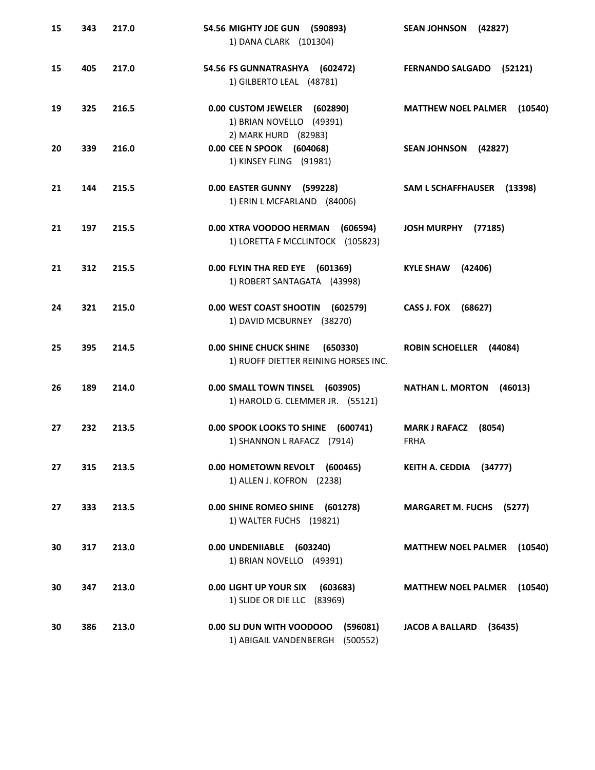| 15 | 343 | 217.0 | 54.56 MIGHTY JOE GUN (590893)<br>1) DANA CLARK (101304)                           | <b>SEAN JOHNSON</b><br>(42827)                |
|----|-----|-------|-----------------------------------------------------------------------------------|-----------------------------------------------|
| 15 | 405 | 217.0 | 54.56 FS GUNNATRASHYA (602472)<br>1) GILBERTO LEAL (48781)                        | <b>FERNANDO SALGADO</b><br>(52121)            |
| 19 | 325 | 216.5 | 0.00 CUSTOM JEWELER<br>(602890)<br>1) BRIAN NOVELLO (49391)                       | <b>MATTHEW NOEL PALMER</b><br>(10540)         |
| 20 | 339 | 216.0 | 2) MARK HURD (82983)<br>0.00 CEE N SPOOK (604068)<br>1) KINSEY FLING (91981)      | SEAN JOHNSON (42827)                          |
| 21 | 144 | 215.5 | 0.00 EASTER GUNNY (599228)<br>1) ERIN L MCFARLAND (84006)                         | SAM L SCHAFFHAUSER (13398)                    |
| 21 | 197 | 215.5 | 0.00 XTRA VOODOO HERMAN<br>(606594)<br>1) LORETTA F MCCLINTOCK (105823)           | <b>JOSH MURPHY</b><br>(77185)                 |
| 21 | 312 | 215.5 | 0.00 FLYIN THA RED EYE (601369)<br>1) ROBERT SANTAGATA (43998)                    | <b>KYLE SHAW</b><br>(42406)                   |
| 24 | 321 | 215.0 | 0.00 WEST COAST SHOOTIN<br>(602579)<br>1) DAVID MCBURNEY (38270)                  | CASS J. FOX<br>(68627)                        |
| 25 | 395 | 214.5 | <b>0.00 SHINE CHUCK SHINE</b><br>(650330)<br>1) RUOFF DIETTER REINING HORSES INC. | <b>ROBIN SCHOELLER</b><br>(44084)             |
| 26 | 189 | 214.0 | 0.00 SMALL TOWN TINSEL (603905)<br>1) HAROLD G. CLEMMER JR. (55121)               | <b>NATHAN L. MORTON</b><br>(46013)            |
| 27 | 232 | 213.5 | 0.00 SPOOK LOOKS TO SHINE<br>(600741)<br>1) SHANNON L RAFACZ (7914)               | <b>MARK J RAFACZ</b><br>(8054)<br><b>FRHA</b> |
| 27 | 315 | 213.5 | 0.00 HOMETOWN REVOLT (600465)<br>1) ALLEN J. KOFRON (2238)                        | KEITH A. CEDDIA (34777)                       |
| 27 | 333 | 213.5 | 0.00 SHINE ROMEO SHINE (601278)<br>1) WALTER FUCHS (19821)                        | <b>MARGARET M. FUCHS (5277)</b>               |
| 30 | 317 | 213.0 | 0.00 UNDENIIABLE (603240)<br>1) BRIAN NOVELLO (49391)                             | <b>MATTHEW NOEL PALMER</b><br>(10540)         |
| 30 | 347 | 213.0 | 0.00 LIGHT UP YOUR SIX<br>(603683)<br>1) SLIDE OR DIE LLC (83969)                 | <b>MATTHEW NOEL PALMER</b><br>(10540)         |
| 30 | 386 | 213.0 | 0.00 SLI DUN WITH VOODOOO<br>(596081)<br>1) ABIGAIL VANDENBERGH (500552)          | <b>JACOB A BALLARD</b><br>(36435)             |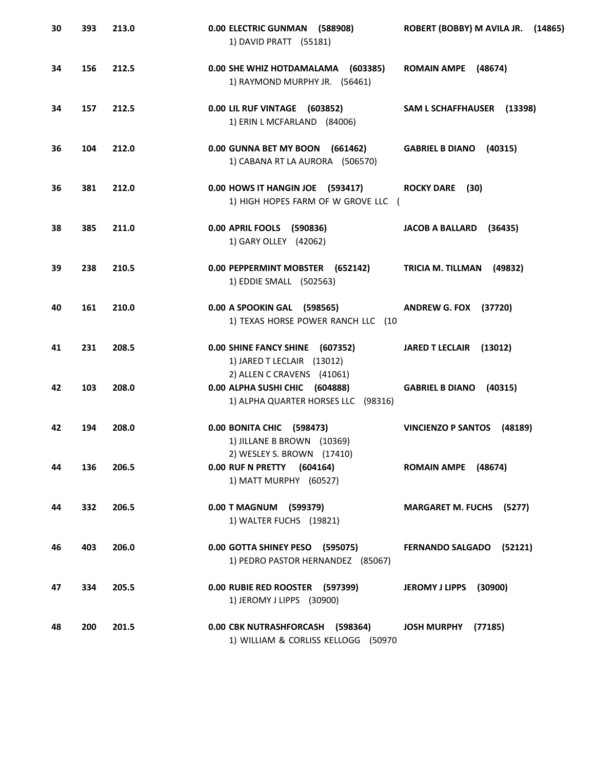| 30 | 393 | 213.0 | 0.00 ELECTRIC GUNMAN (588908)<br>1) DAVID PRATT (55181)                                             | ROBERT (BOBBY) M AVILA JR.<br>(14865) |
|----|-----|-------|-----------------------------------------------------------------------------------------------------|---------------------------------------|
| 34 | 156 | 212.5 | 0.00 SHE WHIZ HOTDAMALAMA (603385)<br>1) RAYMOND MURPHY JR. (56461)                                 | ROMAIN AMPE (48674)                   |
| 34 | 157 | 212.5 | 0.00 LIL RUF VINTAGE (603852)<br>1) ERIN L MCFARLAND (84006)                                        | SAM L SCHAFFHAUSER (13398)            |
| 36 | 104 | 212.0 | 0.00 GUNNA BET MY BOON (661462)<br>1) CABANA RT LA AURORA (506570)                                  | GABRIEL B DIANO (40315)               |
| 36 | 381 | 212.0 | 0.00 HOWS IT HANGIN JOE (593417)<br>1) HIGH HOPES FARM OF W GROVE LLC (                             | ROCKY DARE (30)                       |
| 38 | 385 | 211.0 | 0.00 APRIL FOOLS (590836)<br>1) GARY OLLEY (42062)                                                  | <b>JACOB A BALLARD</b><br>(36435)     |
| 39 | 238 | 210.5 | 0.00 PEPPERMINT MOBSTER (652142)<br>1) EDDIE SMALL (502563)                                         | TRICIA M. TILLMAN<br>(49832)          |
| 40 | 161 | 210.0 | 0.00 A SPOOKIN GAL (598565)<br>1) TEXAS HORSE POWER RANCH LLC (10                                   | <b>ANDREW G. FOX (37720)</b>          |
| 41 | 231 | 208.5 | 0.00 SHINE FANCY SHINE (607352)<br>1) JARED T LECLAIR (13012)                                       | JARED T LECLAIR (13012)               |
| 42 | 103 | 208.0 | 2) ALLEN C CRAVENS (41061)<br>0.00 ALPHA SUSHI CHIC (604888)<br>1) ALPHA QUARTER HORSES LLC (98316) | GABRIEL B DIANO (40315)               |
| 42 | 194 | 208.0 | 0.00 BONITA CHIC (598473)<br>1) JILLANE B BROWN (10369)                                             | VINCIENZO P SANTOS (48189)            |
| 44 | 136 | 206.5 | 2) WESLEY S. BROWN (17410)<br>0.00 RUF N PRETTY (604164)<br>1) MATT MURPHY (60527)                  | ROMAIN AMPE (48674)                   |
| 44 | 332 | 206.5 | 0.00 T MAGNUM (599379)<br>1) WALTER FUCHS (19821)                                                   | <b>MARGARET M. FUCHS (5277)</b>       |
| 46 | 403 | 206.0 | 0.00 GOTTA SHINEY PESO (595075)<br>1) PEDRO PASTOR HERNANDEZ (85067)                                | FERNANDO SALGADO (52121)              |
| 47 | 334 | 205.5 | 0.00 RUBIE RED ROOSTER (597399)<br>1) JEROMY J LIPPS (30900)                                        | JEROMY J LIPPS (30900)                |
| 48 | 200 | 201.5 | 0.00 CBK NUTRASHFORCASH (598364)<br>1) WILLIAM & CORLISS KELLOGG (50970                             | <b>JOSH MURPHY</b><br>(77185)         |
|    |     |       |                                                                                                     |                                       |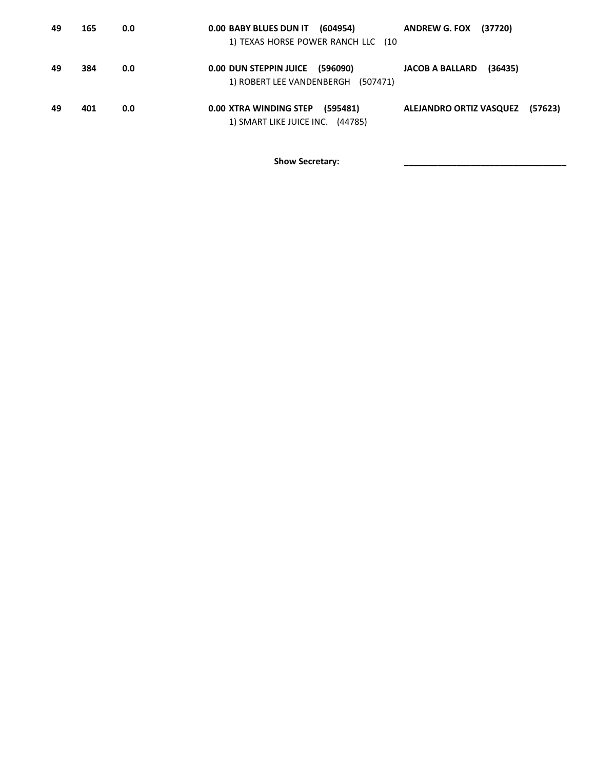| 49 | 165 | 0.0 | 0.00 BABY BLUES DUN IT (604954)<br>1) TEXAS HORSE POWER RANCH LLC (10  | <b>ANDREW G. FOX (37720)</b>       |
|----|-----|-----|------------------------------------------------------------------------|------------------------------------|
| 49 | 384 | 0.0 | 0.00 DUN STEPPIN JUICE (596090)<br>1) ROBERT LEE VANDENBERGH (507471)  | <b>JACOB A BALLARD</b><br>(36435)  |
| 49 | 401 | 0.0 | 0.00 XTRA WINDING STEP<br>(595481)<br>1) SMART LIKE JUICE INC. (44785) | ALEJANDRO ORTIZ VASQUEZ<br>(57623) |

Show Secretary: